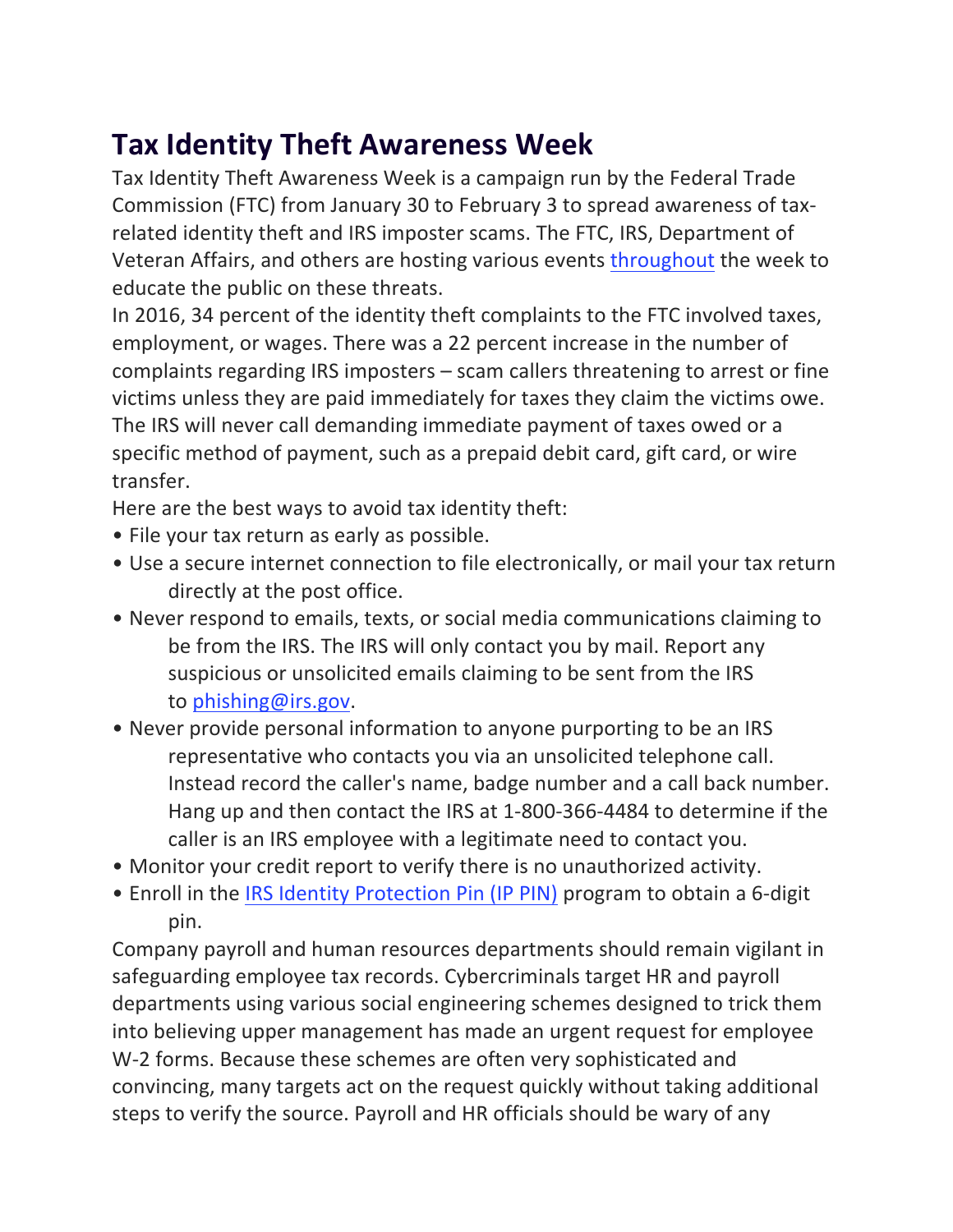## **Tax Identity Theft Awareness Week**

Tax Identity Theft Awareness Week is a campaign run by the Federal Trade Commission (FTC) from January 30 to February 3 to spread awareness of taxrelated identity theft and IRS imposter scams. The FTC, IRS, Department of Veteran Affairs, and others are hosting various events throughout the week to educate the public on these threats.

In 2016, 34 percent of the identity theft complaints to the FTC involved taxes, employment, or wages. There was a 22 percent increase in the number of complaints regarding IRS imposters  $-$  scam callers threatening to arrest or fine victims unless they are paid immediately for taxes they claim the victims owe. The IRS will never call demanding immediate payment of taxes owed or a specific method of payment, such as a prepaid debit card, gift card, or wire transfer.

Here are the best ways to avoid tax identity theft:

- File your tax return as early as possible.
- Use a secure internet connection to file electronically, or mail your tax return directly at the post office.
- Never respond to emails, texts, or social media communications claiming to be from the IRS. The IRS will only contact you by mail. Report any suspicious or unsolicited emails claiming to be sent from the IRS to [phishing@irs.gov](mailto:phishing@irs.gov?subject=).
- Never provide personal information to anyone purporting to be an IRS representative who contacts you via an unsolicited telephone call. Instead record the caller's name, badge number and a call back number. Hang up and then contact the IRS at 1-800-366-4484 to determine if the caller is an IRS employee with a legitimate need to contact you.
- Monitor your credit report to verify there is no unauthorized activity.
- Enroll in the IRS Identity Protection Pin (IP PIN) program to obtain a 6-digit pin.

Company payroll and human resources departments should remain vigilant in safeguarding employee tax records. Cybercriminals target HR and payroll departments using various social engineering schemes designed to trick them into believing upper management has made an urgent request for employee W-2 forms. Because these schemes are often very sophisticated and convincing, many targets act on the request quickly without taking additional steps to verify the source. Payroll and HR officials should be wary of any